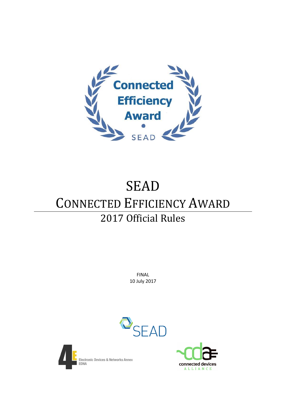

# **SEAD** CONNECTED EFFICIENCY AWARD 2017 Official Rules

FINAL 10 July 2017





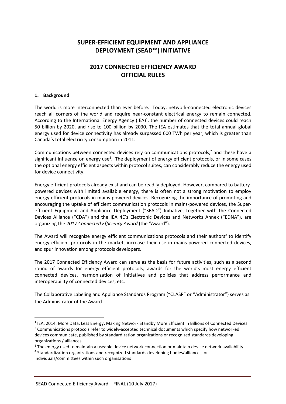### **SUPER-EFFICIENT EQUIPMENT AND APPLIANCE DEPLOYMENT (SEAD™) INITIATIVE**

### **2017 CONNECTED EFFICIENCY AWARD OFFICIAL RULES**

### **1. Background**

**.** 

The world is more interconnected than ever before. Today, network-connected electronic devices reach all corners of the world and require near-constant electrical energy to remain connected. According to the International Energy Agency (IEA) $<sup>1</sup>$ , the number of connected devices could reach</sup> 50 billion by 2020, and rise to 100 billion by 2030. The IEA estimates that the total annual global energy used for device connectivity has already surpassed 600 TWh per year, which is greater than Canada's total electricity consumption in 2011.

Communications between connected devices rely on communications protocols, <sup>2</sup> and these have a significant influence on energy use<sup>3</sup>. The deployment of energy efficient protocols, or in some cases the optional energy efficient aspects within protocol suites, can considerably reduce the energy used for device connectivity.

Energy efficient protocols already exist and can be readily deployed. However, compared to batterypowered devices with limited available energy, there is often not a strong motivation to employ energy efficient protocols in mains-powered devices. Recognizing the importance of promoting and encouraging the uptake of efficient communication protocols in mains-powered devices, the Superefficient Equipment and Appliance Deployment ("SEAD") Initiative, together with the Connected Devices Alliance ("CDA") and the IEA 4E's Electronic Devices and Networks Annex ("EDNA"), are organizing the *2017 Connected Efficiency Award* (the "Award").

The Award will recognize energy efficient communications protocols and their authors*<sup>4</sup>* to identify energy efficient protocols in the market, increase their use in mains-powered connected devices, and spur innovation among protocols developers.

The 2017 Connected Efficiency Award can serve as the basis for future activities, such as a second round of awards for energy efficient protocols, awards for the world's most energy efficient connected devices, harmonization of initiatives and policies that address performance and interoperability of connected devices, etc.

The Collaborative Labeling and Appliance Standards Program ("CLASP" or "Administrator") serves as the Administrator of the Award.

4 Standardization organizations and recognized standards developing bodies/alliances, or individuals/committees within such organisations

<sup>&</sup>lt;sup>1</sup> IEA, 2014. More Data, Less Energy: Making Network Standby More Efficient in Billions of Connected Devices <sup>2</sup> Communications protocols refer to widely-accepted technical documents which specify how networked devices communicate, published by standardization organizations or recognized standards developing organizations / alliances.

<sup>&</sup>lt;sup>3</sup> The energy used to maintain a useable device network connection or maintain device network availability.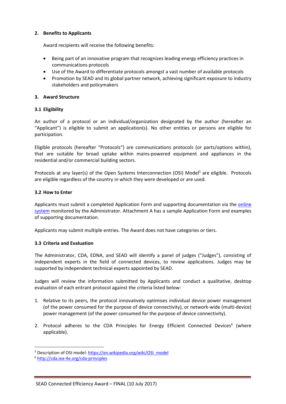### **2. Benefits to Applicants**

Award recipients will receive the following benefits:

- Being part of an innovative program that recognizes leading energy efficiency practices in communications protocols
- Use of the Award to differentiate protocols amongst a vast number of available protocols
- Promotion by SEAD and its global partner network, achieving significant exposure to industry stakeholders and policymakers

### **3. Award Structure**

### **3.1 Eligibility**

An author of a protocol or an individual/organization designated by the author (hereafter an "Applicant") is eligible to submit an application(s). No other entities or persons are eligible for participation.

Eligible protocols (hereafter "Protocols") are communications protocols (or parts/options within), that are suitable for broad uptake within mains-powered equipment and appliances in the residential and/or commercial building sectors.

Protocols at any layer(s) of the Open Systems Interconnection (OSI) Model<sup>5</sup> are eligible. Protocols are eligible regardless of the country in which they were developed or are used.

### **3.2 How to Enter**

Applicants must submit a completed Application Form and supporting documentation via the [online](https://globalleapawards.wufoo.com/forms/m8h5qwz1qtohuy/)  [system](https://globalleapawards.wufoo.com/forms/m8h5qwz1qtohuy/) monitored by the Administrator. Attachment A has a sample Application Form and examples of supporting documentation.

Applicants may submit multiple entries. The Award does not have categories or tiers.

### **3.3 Criteria and Evaluation**

The Administrator, CDA, EDNA, and SEAD will identify a panel of judges ("Judges"), consisting of independent experts in the field of connected devices, to review applications. Judges may be supported by independent technical experts appointed by SEAD.

Judges will review the information submitted by Applicants and conduct a qualitative, desktop evaluation of each entrant protocol against the criteria listed below:

- 1. Relative to its peers, the protocol innovatively optimises individual device power management (of the power consumed for the purpose of device connectivity), or network-wide (multi-device) power management (of the power consumed for the purpose of device connectivity).
- 2. Protocol adheres to the CDA Principles for Energy Efficient Connected Devices<sup>6</sup> (where applicable).

**.** 

<sup>5</sup> Description of OSI model[: https://en.wikipedia.org/wiki/OSI\\_model](https://en.wikipedia.org/wiki/OSI_model)

<sup>6</sup> <http://cda.iea-4e.org/cda-principles>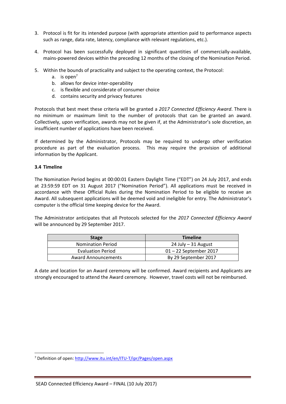- 3. Protocol is fit for its intended purpose (with appropriate attention paid to performance aspects such as range, data rate, latency, compliance with relevant regulations, etc.).
- 4. Protocol has been successfully deployed in significant quantities of commercially-available, mains-powered devices within the preceding 12 months of the closing of the Nomination Period.
- 5. Within the bounds of practicality and subject to the operating context, the Protocol:
	- a. is open<sup>7</sup>
	- b. allows for device inter-operability
	- c. is flexible and considerate of consumer choice
	- d. contains security and privacy features

Protocols that best meet these criteria will be granted a *2017 Connected Efficiency Award*. There is no minimum or maximum limit to the number of protocols that can be granted an award. Collectively, upon verification, awards may not be given if, at the Administrator's sole discretion, an insufficient number of applications have been received.

If determined by the Administrator, Protocols may be required to undergo other verification procedure as part of the evaluation process. This may require the provision of additional information by the Applicant.

### **3.4 Timeline**

**.** 

The Nomination Period begins at 00:00:01 Eastern Daylight Time ("EDT") on 24 July 2017, and ends at 23:59:59 EDT on 31 August 2017 ("Nomination Period"). All applications must be received in accordance with these Official Rules during the Nomination Period to be eligible to receive an Award. All subsequent applications will be deemed void and ineligible for entry. The Administrator's computer is the official time keeping device for the Award.

The Administrator anticipates that all Protocols selected for the *2017 Connected Efficiency Award* will be announced by 29 September 2017.

| <b>Stage</b>               | <b>Timeline</b>          |
|----------------------------|--------------------------|
| <b>Nomination Period</b>   | $24$ July $-31$ August   |
| <b>Evaluation Period</b>   | $01 - 22$ September 2017 |
| <b>Award Announcements</b> | By 29 September 2017     |

A date and location for an Award ceremony will be confirmed. Award recipients and Applicants are strongly encouraged to attend the Award ceremony. However, travel costs will not be reimbursed.

<sup>7</sup> Definition of open:<http://www.itu.int/en/ITU-T/ipr/Pages/open.aspx>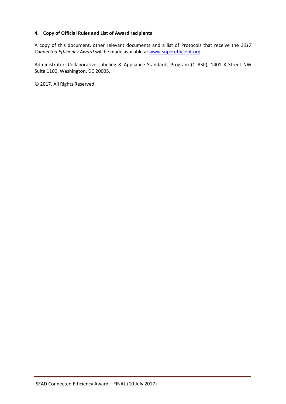### **4. Copy of Official Rules and List of Award recipients**

A copy of this document, other relevant documents and a list of Protocols that receive the *2017 Connected Efficiency Award* will be made available at [www.superefficient.org](http://www.superefficient.org/)

Administrator: Collaborative Labeling & Appliance Standards Program (CLASP), 1401 K Street NW Suite 1100, Washington, DC 20005.

© 2017. All Rights Reserved.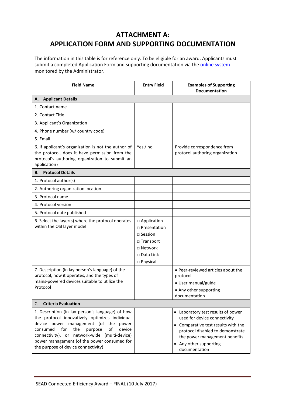# **ATTACHMENT A: APPLICATION FORM AND SUPPORTING DOCUMENTATION**

The information in this table is for reference only. To be eligible for an award, Applicants must submit a completed Application Form and supporting documentation via the **[online system](https://globalleapawards.wufoo.com/forms/m8h5qwz1qtohuy/)** monitored by the Administrator.

| <b>Field Name</b>                                                                                                                                                                                                                                                                                                                          | <b>Entry Field</b>                                                                                                   | <b>Examples of Supporting</b><br><b>Documentation</b>                                                                                                                                                                     |  |  |
|--------------------------------------------------------------------------------------------------------------------------------------------------------------------------------------------------------------------------------------------------------------------------------------------------------------------------------------------|----------------------------------------------------------------------------------------------------------------------|---------------------------------------------------------------------------------------------------------------------------------------------------------------------------------------------------------------------------|--|--|
| <b>Applicant Details</b><br>А.                                                                                                                                                                                                                                                                                                             |                                                                                                                      |                                                                                                                                                                                                                           |  |  |
| 1. Contact name                                                                                                                                                                                                                                                                                                                            |                                                                                                                      |                                                                                                                                                                                                                           |  |  |
| 2. Contact Title                                                                                                                                                                                                                                                                                                                           |                                                                                                                      |                                                                                                                                                                                                                           |  |  |
| 3. Applicant's Organization                                                                                                                                                                                                                                                                                                                |                                                                                                                      |                                                                                                                                                                                                                           |  |  |
| 4. Phone number (w/ country code)                                                                                                                                                                                                                                                                                                          |                                                                                                                      |                                                                                                                                                                                                                           |  |  |
| 5. Email                                                                                                                                                                                                                                                                                                                                   |                                                                                                                      |                                                                                                                                                                                                                           |  |  |
| 6. If applicant's organization is not the author of<br>the protocol, does it have permission from the<br>protocol's authoring organization to submit an<br>application?                                                                                                                                                                    | Yes / no                                                                                                             | Provide correspondence from<br>protocol authoring organization                                                                                                                                                            |  |  |
| <b>Protocol Details</b><br>В.                                                                                                                                                                                                                                                                                                              |                                                                                                                      |                                                                                                                                                                                                                           |  |  |
| 1. Protocol author(s)                                                                                                                                                                                                                                                                                                                      |                                                                                                                      |                                                                                                                                                                                                                           |  |  |
| 2. Authoring organization location                                                                                                                                                                                                                                                                                                         |                                                                                                                      |                                                                                                                                                                                                                           |  |  |
| 3. Protocol name                                                                                                                                                                                                                                                                                                                           |                                                                                                                      |                                                                                                                                                                                                                           |  |  |
| 4. Protocol version                                                                                                                                                                                                                                                                                                                        |                                                                                                                      |                                                                                                                                                                                                                           |  |  |
| 5. Protocol date published                                                                                                                                                                                                                                                                                                                 |                                                                                                                      |                                                                                                                                                                                                                           |  |  |
| 6. Select the layer(s) where the protocol operates<br>within the OSI layer model                                                                                                                                                                                                                                                           | □ Application<br>□ Presentation<br>$\Box$ Session<br>□ Transport<br>$\Box$ Network<br>$\Box$ Data Link<br>□ Physical |                                                                                                                                                                                                                           |  |  |
| 7. Description (in lay person's language) of the<br>protocol, how it operates, and the types of<br>mains-powered devices suitable to utilize the<br>Protocol                                                                                                                                                                               |                                                                                                                      | • Peer-reviewed articles about the<br>protocol<br>• User manual/guide<br>• Any other supporting<br>documentation                                                                                                          |  |  |
| <b>Criteria Evaluation</b><br>C.                                                                                                                                                                                                                                                                                                           |                                                                                                                      |                                                                                                                                                                                                                           |  |  |
| 1. Description (in lay person's language) of how<br>the protocol innovatively optimizes individual<br>device power management (of the<br>power<br>consumed<br>for<br>the<br>of<br>device<br>purpose<br>connectivity), or network-wide (multi-device)<br>power management (of the power consumed for<br>the purpose of device connectivity) |                                                                                                                      | • Laboratory test results of power<br>used for device connectivity<br>• Comparative test results with the<br>protocol disabled to demonstrate<br>the power management benefits<br>• Any other supporting<br>documentation |  |  |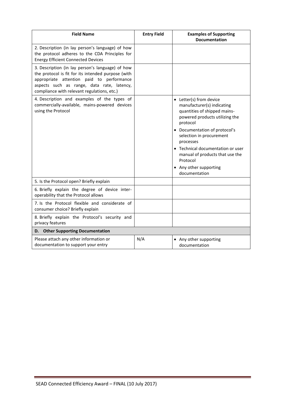| <b>Field Name</b>                                                                                                                                                                                                                                | <b>Entry Field</b> | <b>Examples of Supporting</b><br><b>Documentation</b>                                                                                                                                                                                                                                                                                        |
|--------------------------------------------------------------------------------------------------------------------------------------------------------------------------------------------------------------------------------------------------|--------------------|----------------------------------------------------------------------------------------------------------------------------------------------------------------------------------------------------------------------------------------------------------------------------------------------------------------------------------------------|
| 2. Description (in lay person's language) of how<br>the protocol adheres to the CDA Principles for<br><b>Energy Efficient Connected Devices</b>                                                                                                  |                    |                                                                                                                                                                                                                                                                                                                                              |
| 3. Description (in lay person's language) of how<br>the protocol is fit for its intended purpose (with<br>appropriate attention paid to performance<br>aspects such as range, data rate, latency,<br>compliance with relevant regulations, etc.) |                    |                                                                                                                                                                                                                                                                                                                                              |
| 4. Description and examples of the types of<br>commercially-available, mains-powered devices<br>using the Protocol                                                                                                                               |                    | • Letter(s) from device<br>manufacturer(s) indicating<br>quantities of shipped mains-<br>powered products utilizing the<br>protocol<br>• Documentation of protocol's<br>selection in procurement<br>processes<br>• Technical documentation or user<br>manual of products that use the<br>Protocol<br>• Any other supporting<br>documentation |
| 5. Is the Protocol open? Briefly explain                                                                                                                                                                                                         |                    |                                                                                                                                                                                                                                                                                                                                              |
| 6. Briefly explain the degree of device inter-<br>operability that the Protocol allows                                                                                                                                                           |                    |                                                                                                                                                                                                                                                                                                                                              |
| 7. Is the Protocol flexible and considerate of<br>consumer choice? Briefly explain                                                                                                                                                               |                    |                                                                                                                                                                                                                                                                                                                                              |
| 8. Briefly explain the Protocol's security and<br>privacy features                                                                                                                                                                               |                    |                                                                                                                                                                                                                                                                                                                                              |
| <b>Other Supporting Documentation</b><br>D.                                                                                                                                                                                                      |                    |                                                                                                                                                                                                                                                                                                                                              |
| Please attach any other information or<br>documentation to support your entry                                                                                                                                                                    | N/A                | • Any other supporting<br>documentation                                                                                                                                                                                                                                                                                                      |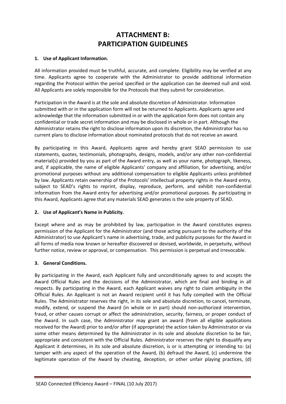### **ATTACHMENT B: PARTICIPATION GUIDELINES**

### **1. Use of Applicant Information.**

All information provided must be truthful, accurate, and complete. Eligibility may be verified at any time. Applicants agree to cooperate with the Administrator to provide additional information regarding the Protocol within the period specified or the application can be deemed null and void. All Applicants are solely responsible for the Protocols that they submit for consideration.

Participation in the Award is at the sole and absolute discretion of Administrator. Information submitted with or in the application form will not be returned to Applicants. Applicants agree and acknowledge that the information submitted in or with the application form does not contain any confidential or trade secret information and may be disclosed in whole or in part. Although the Administrator retains the right to disclose information upon its discretion, the Administrator has no current plans to disclose information about nominated protocols that do not receive an award.

By participating in this Award, Applicants agree and hereby grant SEAD permission to use statements, quotes, testimonials, photographs, designs, models, and/or any other non-confidential material(s) provided by you as part of the Award entry, as well as your name, photograph, likeness, and, if applicable, the name of eligible Applicants' company and affiliation, for advertising, and/or promotional purposes without any additional compensation to eligible Applicants unless prohibited by law. Applicants retain ownership of the Protocols' intellectual property rights in the Award entry, subject to SEAD's rights to reprint, display, reproduce, perform, and exhibit non-confidential information from the Award entry for advertising and/or promotional purposes. By participating in this Award, Applicants agree that any materials SEAD generates is the sole property of SEAD.

### **2. Use of Applicant's Name in Publicity.**

Except where and as may be prohibited by law, participation in the Award constitutes express permission of the Applicant for the Administrator (and those acting pursuant to the authority of the Administrator) to use Applicant's name in advertising, trade, and publicity purposes for the Award in all forms of media now known or hereafter discovered or devised, worldwide, in perpetuity, without further notice, review or approval, or compensation. This permission is perpetual and irrevocable.

### **3. General Conditions.**

By participating in the Award, each Applicant fully and unconditionally agrees to and accepts the Award Official Rules and the decisions of the Administrator, which are final and binding in all respects. By participating in the Award, each Applicant waives any right to claim ambiguity in the Official Rules. An Applicant is not an Award recipient until it has fully complied with the Official Rules. The Administrator reserves the right, in its sole and absolute discretion, to cancel, terminate, modify, extend, or suspend the Award (in whole or in part) should non-authorized intervention, fraud, or other causes corrupt or affect the administration, security, fairness, or proper conduct of the Award. In such case, the Administrator may grant an award (from all eligible applications received for the Award) prior to and/or after (if appropriate) the action taken by Administrator or via some other means determined by the Administrator in its sole and absolute discretion to be fair, appropriate and consistent with the Official Rules. Administrator reserves the right to disqualify any Applicant it determines, in its sole and absolute discretion, is or is attempting or intending to: (a) tamper with any aspect of the operation of the Award, (b) defraud the Award, (c) undermine the legitimate operation of the Award by cheating, deception, or other unfair playing practices, (d)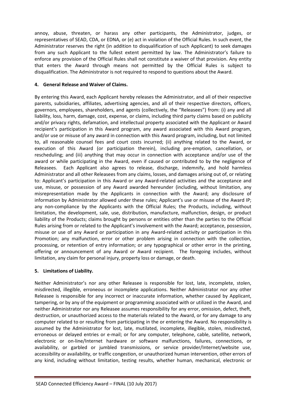annoy, abuse, threaten, or harass any other participants, the Administrator, judges, or representatives of SEAD, CDA, or EDNA, or (e) act in violation of the Official Rules. In such event, the Administrator reserves the right (in addition to disqualification of such Applicant) to seek damages from any such Applicant to the fullest extent permitted by law. The Administrator's failure to enforce any provision of the Official Rules shall not constitute a waiver of that provision. Any entity that enters the Award through means not permitted by the Official Rules is subject to disqualification. The Administrator is not required to respond to questions about the Award.

### **4. General Release and Waiver of Claims.**

By entering this Award, each Applicant hereby releases the Administrator, and all of their respective parents, subsidiaries, affiliates, advertising agencies, and all of their respective directors, officers, governors, employees, shareholders, and agents (collectively, the "Releasees") from: (i) any and all liability, loss, harm, damage, cost, expense, or claims, including third party claims based on publicity and/or privacy rights, defamation, and intellectual property associated with the Applicant or Award recipient's participation in this Award program, any award associated with this Award program, and/or use or misuse of any award in connection with this Award program, including, but not limited to, all reasonable counsel fees and court costs incurred; (ii) anything related to the Award, or execution of this Award (or participation therein), including pre-emption, cancellation, or rescheduling; and (iii) anything that may occur in connection with acceptance and/or use of the award or while participating in the Award, even if caused or contributed to by the negligence of Releasees. Each Applicant also agrees to release, discharge, indemnify, and hold harmless Administrator and all other Releasees from any claims, losses, and damages arising out of, or relating to: Applicant's participation in this Award or any Award-related activities and the acceptance and use, misuse, or possession of any Award awarded hereunder (including, without limitation, any misrepresentation made by the Applicants in connection with the Award; any disclosure of information by Administrator allowed under these rules; Applicant's use or misuse of the Award IP; any non-compliance by the Applicants with the Official Rules; the Products, including, without limitation, the development, sale, use, distribution, manufacture, malfunction, design, or product liability of the Products; claims brought by persons or entities other than the parties to the Official Rules arising from or related to the Applicant's involvement with the Award; acceptance, possession, misuse or use of any Award or participation in any Award-related activity or participation in this Promotion; any malfunction, error or other problem arising in connection with the collection, processing, or retention of entry information; or any typographical or other error in the printing, offering or announcement of any Award or Award recipient. The foregoing includes, without limitation, any claim for personal injury, property loss or damage, or death.

### **5. Limitations of Liability.**

Neither Administrator's nor any other Releasee is responsible for lost, late, incomplete, stolen, misdirected, illegible, erroneous or incomplete applications. Neither Administrator nor any other Releasee is responsible for any incorrect or inaccurate information, whether caused by Applicant, tampering, or by any of the equipment or programming associated with or utilized in the Award, and neither Administrator nor any Releasee assumes responsibility for any error, omission, defect, theft, destruction, or unauthorized access to the materials related to the Award, or for any damage to any computer related to or resulting from participating in the or entering the Award. No responsibility is assumed by the Administrator for lost, late, mutilated, incomplete, illegible, stolen, misdirected, erroneous or delayed entries or e-mail; or for any computer, telephone, cable, satellite, network, electronic or on-line/Internet hardware or software malfunctions, failures, connections, or availability, or garbled or jumbled transmissions, or service provider/Internet/website use, accessibility or availability, or traffic congestion, or unauthorized human intervention, other errors of any kind, including without limitation, testing results, whether human, mechanical, electronic or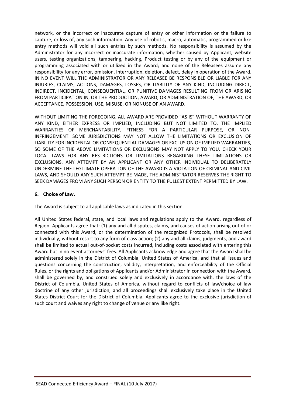network, or the incorrect or inaccurate capture of entry or other information or the failure to capture, or loss of, any such information. Any use of robotic, macro, automatic, programmed or like entry methods will void all such entries by such methods. No responsibility is assumed by the Administrator for any incorrect or inaccurate information, whether caused by Applicant, website users, testing organizations, tampering, hacking, Product testing or by any of the equipment or programming associated with or utilized in the Award; and none of the Releasees assume any responsibility for any error, omission, interruption, deletion, defect, delay in operation of the Award. IN NO EVENT WILL THE ADMINISTRATOR OR ANY RELEASEE BE RESPONSIBLE OR LIABLE FOR ANY INJURIES, CLAIMS, ACTIONS, DAMAGES, LOSSES, OR LIABILITY OF ANY KIND, INCLUDING DIRECT, INDIRECT, INCIDENTAL, CONSEQUENTIAL, OR PUNITIVE DAMAGES RESULTING FROM OR ARISING FROM PARTICIPATION IN, OR THE PRODUCTION, AWARD, OR ADMINISTRATION OF, THE AWARD, OR ACCEPTANCE, POSSESSION, USE, MISUSE, OR NONUSE OF AN AWARD.

WITHOUT LIMITING THE FOREGOING, ALL AWARD ARE PROVIDED "AS IS" WITHOUT WARRANTY OF ANY KIND, EITHER EXPRESS OR IMPLIED, INCLUDING BUT NOT LIMITED TO, THE IMPLIED WARRANTIES OF MERCHANTABILITY, FITNESS FOR A PARTICULAR PURPOSE, OR NON-INFRINGEMENT. SOME JURISDICTIONS MAY NOT ALLOW THE LIMITATIONS OR EXCLUSION OF LIABILITY FOR INCIDENTAL OR CONSEQUENTIAL DAMAGES OR EXCLUSION OF IMPLIED WARRANTIES, SO SOME OF THE ABOVE LIMITATIONS OR EXCLUSIONS MAY NOT APPLY TO YOU. CHECK YOUR LOCAL LAWS FOR ANY RESTRICTIONS OR LIMITATIONS REGARDING THESE LIMITATIONS OR EXCLUSIONS. ANY ATTEMPT BY AN APPLICANT OR ANY OTHER INDIVIDUAL TO DELIBERATELY UNDERMINE THE LEGITIMATE OPERATION OF THE AWARD IS A VIOLATION OF CRIMINAL AND CIVIL LAWS, AND SHOULD ANY SUCH ATTEMPT BE MADE, THE ADMINISTRATOR RESERVES THE RIGHT TO SEEK DAMAGES FROM ANY SUCH PERSON OR ENTITY TO THE FULLEST EXTENT PERMITTED BY LAW.

### **6. Choice of Law.**

The Award is subject to all applicable laws as indicated in this section.

All United States federal, state, and local laws and regulations apply to the Award, regardless of Region. Applicants agree that: (1) any and all disputes, claims, and causes of action arising out of or connected with this Award, or the determination of the recognized Protocols, shall be resolved individually, without resort to any form of class action; (2) any and all claims, judgments, and award shall be limited to actual out-of-pocket costs incurred, including costs associated with entering this Award but in no event attorneys' fees. All Applicants acknowledge and agree that the Award shall be administered solely in the District of Columbia, United States of America, and that all issues and questions concerning the construction, validity, interpretation, and enforceability of the Official Rules, or the rights and obligations of Applicants and/or Administrator in connection with the Award, shall be governed by, and construed solely and exclusively in accordance with, the laws of the District of Columbia, United States of America, without regard to conflicts of law/choice of law doctrine of any other jurisdiction, and all proceedings shall exclusively take place in the United States District Court for the District of Columbia. Applicants agree to the exclusive jurisdiction of such court and waives any right to change of venue or any like right.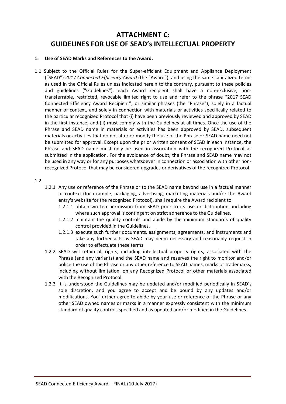## **ATTACHMENT C: GUIDELINES FOR USE OF SEAD's INTELLECTUAL PROPERTY**

### **1. Use of SEAD Marks and References to the Award.**

1.1 Subject to the Official Rules for the Super-efficient Equipment and Appliance Deployment ("SEAD") *2017 Connected Efficiency Award* (the "Award"), and using the same capitalized terms as used in the Official Rules unless indicated herein to the contrary, pursuant to these policies and guidelines ("Guidelines"), each Award recipient shall have a non-exclusive, nontransferrable, restricted, revocable limited right to use and refer to the phrase "2017 SEAD Connected Efficiency Award Recipient", or similar phrases (the "Phrase"), solely in a factual manner or context, and solely in connection with materials or activities specifically related to the particular recognized Protocol that (i) have been previously reviewed and approved by SEAD in the first instance; and (ii) must comply with the Guidelines at all times. Once the use of the Phrase and SEAD name in materials or activities has been approved by SEAD, subsequent materials or activities that do not alter or modify the use of the Phrase or SEAD name need not be submitted for approval. Except upon the prior written consent of SEAD in each instance, the Phrase and SEAD name must only be used in association with the recognized Protocol as submitted in the application. For the avoidance of doubt, the Phrase and SEAD name may not be used in any way or for any purposes whatsoever in connection or association with other nonrecognized Protocol that may be considered upgrades or derivatives of the recognized Protocol.

### 1.2

- 1.2.1 Any use or reference of the Phrase or to the SEAD name beyond use in a factual manner or context (for example, packaging, advertising, marketing materials and/or the Award entry's website for the recognized Protocol), shall require the Award recipient to:
	- 1.2.1.1 obtain written permission from SEAD prior to its use or distribution, including where such approval is contingent on strict adherence to the Guidelines.
	- 1.2.1.2 maintain the quality controls and abide by the minimum standards of quality control provided in the Guidelines.
	- 1.2.1.3 execute such further documents, assignments, agreements, and instruments and take any further acts as SEAD may deem necessary and reasonably request in order to effectuate these terms.
- 1.2.2 SEAD will retain all rights, including intellectual property rights, associated with the Phrase (and any variants) and the SEAD name and reserves the right to monitor and/or police the use of the Phrase or any other reference to SEAD names, marks or trademarks, including without limitation, on any Recognized Protocol or other materials associated with the Recognized Protocol.
- 1.2.3 It is understood the Guidelines may be updated and/or modified periodically in SEAD's sole discretion, and you agree to accept and be bound by any updates and/or modifications. You further agree to abide by your use or reference of the Phrase or any other SEAD owned names or marks in a manner expressly consistent with the minimum standard of quality controls specified and as updated and/or modified in the Guidelines.